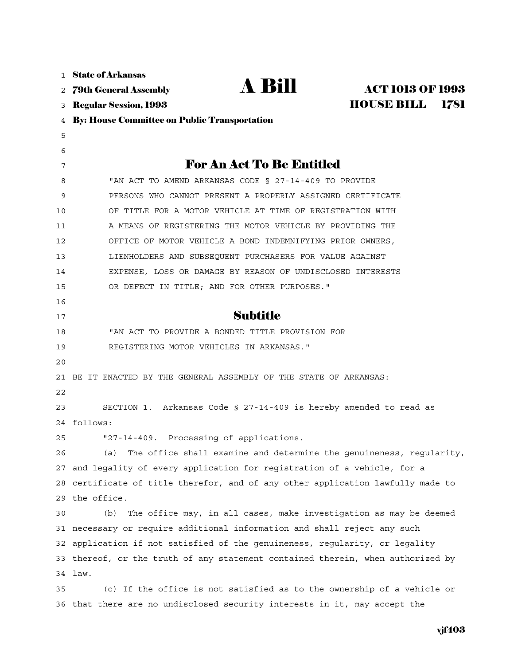| $\mathbf{1}$ | <b>State of Arkansas</b>                                                        |
|--------------|---------------------------------------------------------------------------------|
| 2            | <b>A Bill</b><br><b>ACT 1013 OF 1993</b><br><b>79th General Assembly</b>        |
| 3            | <b>HOUSE BILL</b><br>1781<br><b>Regular Session, 1993</b>                       |
| 4            | <b>By: House Committee on Public Transportation</b>                             |
| 5            |                                                                                 |
| 6            |                                                                                 |
| 7            | <b>For An Act To Be Entitled</b>                                                |
| 8            | "AN ACT TO AMEND ARKANSAS CODE § 27-14-409 TO PROVIDE                           |
| 9            | PERSONS WHO CANNOT PRESENT A PROPERLY ASSIGNED CERTIFICATE                      |
| 10           | OF TITLE FOR A MOTOR VEHICLE AT TIME OF REGISTRATION WITH                       |
| 11           | A MEANS OF REGISTERING THE MOTOR VEHICLE BY PROVIDING THE                       |
| 12           | OFFICE OF MOTOR VEHICLE A BOND INDEMNIFYING PRIOR OWNERS,                       |
| 13           | LIENHOLDERS AND SUBSEQUENT PURCHASERS FOR VALUE AGAINST                         |
| 14           | EXPENSE, LOSS OR DAMAGE BY REASON OF UNDISCLOSED INTERESTS                      |
| 15           | OR DEFECT IN TITLE; AND FOR OTHER PURPOSES."                                    |
| 16           |                                                                                 |
| 17           | <b>Subtitle</b>                                                                 |
| 18           | "AN ACT TO PROVIDE A BONDED TITLE PROVISION FOR                                 |
| 19           | REGISTERING MOTOR VEHICLES IN ARKANSAS."                                        |
| 20           |                                                                                 |
| 21           | BE IT ENACTED BY THE GENERAL ASSEMBLY OF THE STATE OF ARKANSAS:                 |
| 22           |                                                                                 |
| 23           | SECTION 1. Arkansas Code § 27-14-409 is hereby amended to read as               |
|              | 24 follows:                                                                     |
| 25           | "27-14-409. Processing of applications.                                         |
| 26           | The office shall examine and determine the genuineness, regularity,<br>(a)      |
|              | 27 and legality of every application for registration of a vehicle, for a       |
|              | 28 certificate of title therefor, and of any other application lawfully made to |
|              | 29 the office.                                                                  |
| 30           | The office may, in all cases, make investigation as may be deemed<br>(b)        |
|              | 31 necessary or require additional information and shall reject any such        |
|              | 32 application if not satisfied of the genuineness, regularity, or legality     |
|              | 33 thereof, or the truth of any statement contained therein, when authorized by |
|              | 34 law.                                                                         |
| 35           | (c) If the office is not satisfied as to the ownership of a vehicle or          |
|              | 36 that there are no undisclosed security interests in it, may accept the       |